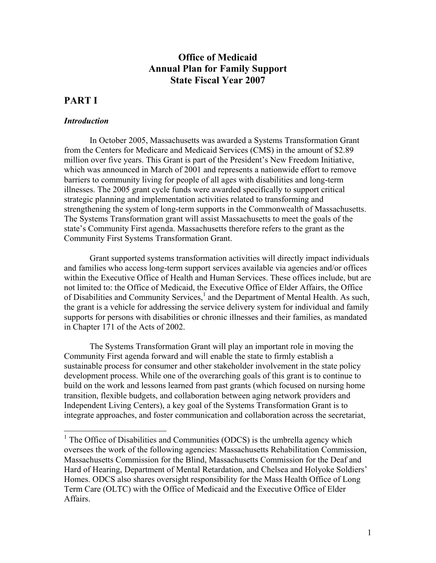## **Office of Medicaid Annual Plan for Family Support State Fiscal Year 2007**

# **PART I**

#### *Introduction*

In October 2005, Massachusetts was awarded a Systems Transformation Grant from the Centers for Medicare and Medicaid Services (CMS) in the amount of \$2.89 million over five years. This Grant is part of the President's New Freedom Initiative, which was announced in March of 2001 and represents a nationwide effort to remove barriers to community living for people of all ages with disabilities and long-term illnesses. The 2005 grant cycle funds were awarded specifically to support critical strategic planning and implementation activities related to transforming and strengthening the system of long-term supports in the Commonwealth of Massachusetts. The Systems Transformation grant will assist Massachusetts to meet the goals of the state's Community First agenda. Massachusetts therefore refers to the grant as the Community First Systems Transformation Grant.

Grant supported systems transformation activities will directly impact individuals and families who access long-term support services available via agencies and/or offices within the Executive Office of Health and Human Services. These offices include, but are not limited to: the Office of Medicaid, the Executive Office of Elder Affairs, the Office of Disabilities and Community Services, $<sup>1</sup>$  $<sup>1</sup>$  $<sup>1</sup>$  and the Department of Mental Health. As such,</sup> the grant is a vehicle for addressing the service delivery system for individual and family supports for persons with disabilities or chronic illnesses and their families, as mandated in Chapter 171 of the Acts of 2002.

The Systems Transformation Grant will play an important role in moving the Community First agenda forward and will enable the state to firmly establish a sustainable process for consumer and other stakeholder involvement in the state policy development process. While one of the overarching goals of this grant is to continue to build on the work and lessons learned from past grants (which focused on nursing home transition, flexible budgets, and collaboration between aging network providers and Independent Living Centers), a key goal of the Systems Transformation Grant is to integrate approaches, and foster communication and collaboration across the secretariat,

<span id="page-0-0"></span><sup>&</sup>lt;sup>1</sup> The Office of Disabilities and Communities (ODCS) is the umbrella agency which oversees the work of the following agencies: Massachusetts Rehabilitation Commission, Massachusetts Commission for the Blind, Massachusetts Commission for the Deaf and Hard of Hearing, Department of Mental Retardation, and Chelsea and Holyoke Soldiers' Homes. ODCS also shares oversight responsibility for the Mass Health Office of Long Term Care (OLTC) with the Office of Medicaid and the Executive Office of Elder Affairs.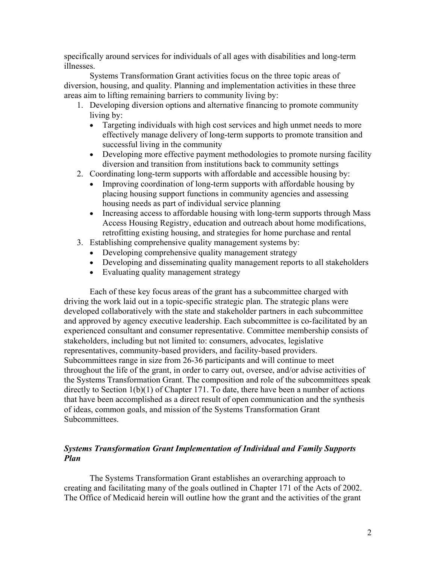specifically around services for individuals of all ages with disabilities and long-term illnesses.

Systems Transformation Grant activities focus on the three topic areas of diversion, housing, and quality. Planning and implementation activities in these three areas aim to lifting remaining barriers to community living by:

- 1. Developing diversion options and alternative financing to promote community living by:
	- Targeting individuals with high cost services and high unmet needs to more effectively manage delivery of long-term supports to promote transition and successful living in the community
	- Developing more effective payment methodologies to promote nursing facility diversion and transition from institutions back to community settings
- 2. Coordinating long-term supports with affordable and accessible housing by:
	- Improving coordination of long-term supports with affordable housing by placing housing support functions in community agencies and assessing housing needs as part of individual service planning
	- Increasing access to affordable housing with long-term supports through Mass Access Housing Registry, education and outreach about home modifications, retrofitting existing housing, and strategies for home purchase and rental
- 3. Establishing comprehensive quality management systems by:
	- Developing comprehensive quality management strategy
	- Developing and disseminating quality management reports to all stakeholders
	- Evaluating quality management strategy

Each of these key focus areas of the grant has a subcommittee charged with driving the work laid out in a topic-specific strategic plan. The strategic plans were developed collaboratively with the state and stakeholder partners in each subcommittee and approved by agency executive leadership. Each subcommittee is co-facilitated by an experienced consultant and consumer representative. Committee membership consists of stakeholders, including but not limited to: consumers, advocates, legislative representatives, community-based providers, and facility-based providers. Subcommittees range in size from 26-36 participants and will continue to meet throughout the life of the grant, in order to carry out, oversee, and/or advise activities of the Systems Transformation Grant. The composition and role of the subcommittees speak directly to Section 1(b)(1) of Chapter 171. To date, there have been a number of actions that have been accomplished as a direct result of open communication and the synthesis of ideas, common goals, and mission of the Systems Transformation Grant Subcommittees.

### *Systems Transformation Grant Implementation of Individual and Family Supports Plan*

The Systems Transformation Grant establishes an overarching approach to creating and facilitating many of the goals outlined in Chapter 171 of the Acts of 2002. The Office of Medicaid herein will outline how the grant and the activities of the grant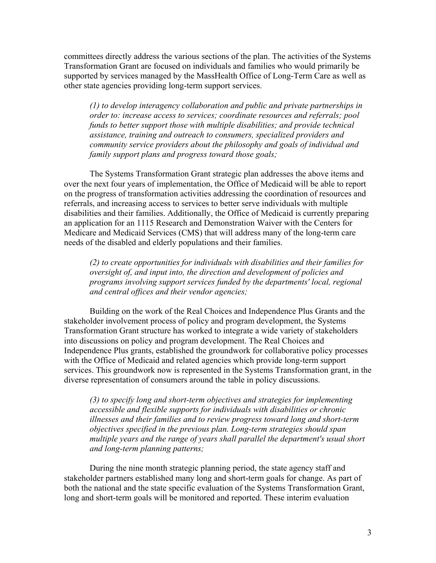committees directly address the various sections of the plan. The activities of the Systems Transformation Grant are focused on individuals and families who would primarily be supported by services managed by the MassHealth Office of Long-Term Care as well as other state agencies providing long-term support services.

*(1) to develop interagency collaboration and public and private partnerships in order to: increase access to services; coordinate resources and referrals; pool funds to better support those with multiple disabilities; and provide technical assistance, training and outreach to consumers, specialized providers and community service providers about the philosophy and goals of individual and family support plans and progress toward those goals;* 

The Systems Transformation Grant strategic plan addresses the above items and over the next four years of implementation, the Office of Medicaid will be able to report on the progress of transformation activities addressing the coordination of resources and referrals, and increasing access to services to better serve individuals with multiple disabilities and their families. Additionally, the Office of Medicaid is currently preparing an application for an 1115 Research and Demonstration Waiver with the Centers for Medicare and Medicaid Services (CMS) that will address many of the long-term care needs of the disabled and elderly populations and their families.

*(2) to create opportunities for individuals with disabilities and their families for oversight of, and input into, the direction and development of policies and programs involving support services funded by the departments' local, regional and central offices and their vendor agencies;* 

Building on the work of the Real Choices and Independence Plus Grants and the stakeholder involvement process of policy and program development, the Systems Transformation Grant structure has worked to integrate a wide variety of stakeholders into discussions on policy and program development. The Real Choices and Independence Plus grants, established the groundwork for collaborative policy processes with the Office of Medicaid and related agencies which provide long-term support services. This groundwork now is represented in the Systems Transformation grant, in the diverse representation of consumers around the table in policy discussions.

*(3) to specify long and short-term objectives and strategies for implementing accessible and flexible supports for individuals with disabilities or chronic illnesses and their families and to review progress toward long and short-term objectives specified in the previous plan. Long-term strategies should span multiple years and the range of years shall parallel the department's usual short and long-term planning patterns;* 

During the nine month strategic planning period, the state agency staff and stakeholder partners established many long and short-term goals for change. As part of both the national and the state specific evaluation of the Systems Transformation Grant, long and short-term goals will be monitored and reported. These interim evaluation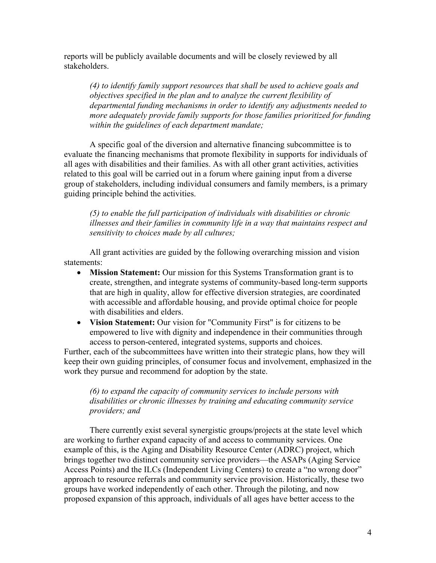reports will be publicly available documents and will be closely reviewed by all stakeholders.

*(4) to identify family support resources that shall be used to achieve goals and objectives specified in the plan and to analyze the current flexibility of departmental funding mechanisms in order to identify any adjustments needed to more adequately provide family supports for those families prioritized for funding within the guidelines of each department mandate;* 

A specific goal of the diversion and alternative financing subcommittee is to evaluate the financing mechanisms that promote flexibility in supports for individuals of all ages with disabilities and their families. As with all other grant activities, activities related to this goal will be carried out in a forum where gaining input from a diverse group of stakeholders, including individual consumers and family members, is a primary guiding principle behind the activities.

*(5) to enable the full participation of individuals with disabilities or chronic illnesses and their families in community life in a way that maintains respect and sensitivity to choices made by all cultures;* 

All grant activities are guided by the following overarching mission and vision statements:

- **Mission Statement:** Our mission for this Systems Transformation grant is to create, strengthen, and integrate systems of community-based long-term supports that are high in quality, allow for effective diversion strategies, are coordinated with accessible and affordable housing, and provide optimal choice for people with disabilities and elders.
- **Vision Statement:** Our vision for "Community First" is for citizens to be empowered to live with dignity and independence in their communities through access to person-centered, integrated systems, supports and choices.

Further, each of the subcommittees have written into their strategic plans, how they will keep their own guiding principles, of consumer focus and involvement, emphasized in the work they pursue and recommend for adoption by the state.

### *(6) to expand the capacity of community services to include persons with disabilities or chronic illnesses by training and educating community service providers; and*

There currently exist several synergistic groups/projects at the state level which are working to further expand capacity of and access to community services. One example of this, is the Aging and Disability Resource Center (ADRC) project, which brings together two distinct community service providers—the ASAPs (Aging Service Access Points) and the ILCs (Independent Living Centers) to create a "no wrong door" approach to resource referrals and community service provision. Historically, these two groups have worked independently of each other. Through the piloting, and now proposed expansion of this approach, individuals of all ages have better access to the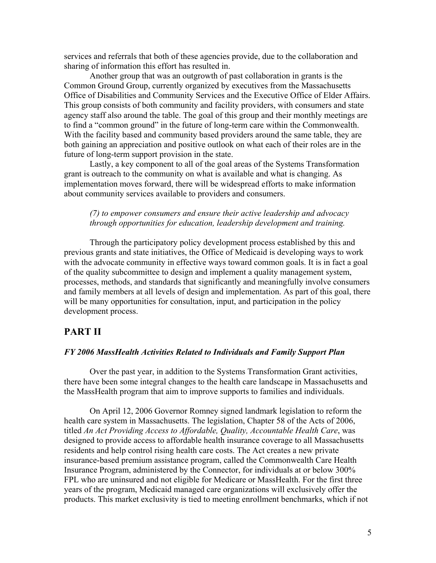services and referrals that both of these agencies provide, due to the collaboration and sharing of information this effort has resulted in.

Another group that was an outgrowth of past collaboration in grants is the Common Ground Group, currently organized by executives from the Massachusetts Office of Disabilities and Community Services and the Executive Office of Elder Affairs. This group consists of both community and facility providers, with consumers and state agency staff also around the table. The goal of this group and their monthly meetings are to find a "common ground" in the future of long-term care within the Commonwealth. With the facility based and community based providers around the same table, they are both gaining an appreciation and positive outlook on what each of their roles are in the future of long-term support provision in the state.

Lastly, a key component to all of the goal areas of the Systems Transformation grant is outreach to the community on what is available and what is changing. As implementation moves forward, there will be widespread efforts to make information about community services available to providers and consumers.

#### *(7) to empower consumers and ensure their active leadership and advocacy through opportunities for education, leadership development and training.*

Through the participatory policy development process established by this and previous grants and state initiatives, the Office of Medicaid is developing ways to work with the advocate community in effective ways toward common goals. It is in fact a goal of the quality subcommittee to design and implement a quality management system, processes, methods, and standards that significantly and meaningfully involve consumers and family members at all levels of design and implementation. As part of this goal, there will be many opportunities for consultation, input, and participation in the policy development process.

### **PART II**

#### *FY 2006 MassHealth Activities Related to Individuals and Family Support Plan*

Over the past year, in addition to the Systems Transformation Grant activities, there have been some integral changes to the health care landscape in Massachusetts and the MassHealth program that aim to improve supports to families and individuals.

On April 12, 2006 Governor Romney signed landmark legislation to reform the health care system in Massachusetts. The legislation, Chapter 58 of the Acts of 2006, titled *An Act Providing Access to Affordable, Quality, Accountable Health Care*, was designed to provide access to affordable health insurance coverage to all Massachusetts residents and help control rising health care costs. The Act creates a new private insurance-based premium assistance program, called the Commonwealth Care Health Insurance Program, administered by the Connector, for individuals at or below 300% FPL who are uninsured and not eligible for Medicare or MassHealth. For the first three years of the program, Medicaid managed care organizations will exclusively offer the products. This market exclusivity is tied to meeting enrollment benchmarks, which if not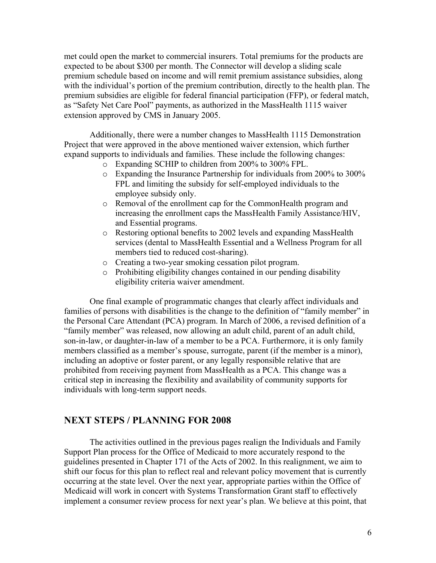met could open the market to commercial insurers. Total premiums for the products are expected to be about \$300 per month. The Connector will develop a sliding scale premium schedule based on income and will remit premium assistance subsidies, along with the individual's portion of the premium contribution, directly to the health plan. The premium subsidies are eligible for federal financial participation (FFP), or federal match, as "Safety Net Care Pool" payments, as authorized in the MassHealth 1115 waiver extension approved by CMS in January 2005.

Additionally, there were a number changes to MassHealth 1115 Demonstration Project that were approved in the above mentioned waiver extension, which further expand supports to individuals and families. These include the following changes:

- o Expanding SCHIP to children from 200% to 300% FPL.
- o Expanding the Insurance Partnership for individuals from 200% to 300% FPL and limiting the subsidy for self-employed individuals to the employee subsidy only.
- o Removal of the enrollment cap for the CommonHealth program and increasing the enrollment caps the MassHealth Family Assistance/HIV, and Essential programs.
- o Restoring optional benefits to 2002 levels and expanding MassHealth services (dental to MassHealth Essential and a Wellness Program for all members tied to reduced cost-sharing).
- o Creating a two-year smoking cessation pilot program.
- o Prohibiting eligibility changes contained in our pending disability eligibility criteria waiver amendment.

One final example of programmatic changes that clearly affect individuals and families of persons with disabilities is the change to the definition of "family member" in the Personal Care Attendant (PCA) program. In March of 2006, a revised definition of a "family member" was released, now allowing an adult child, parent of an adult child, son-in-law, or daughter-in-law of a member to be a PCA. Furthermore, it is only family members classified as a member's spouse, surrogate, parent (if the member is a minor), including an adoptive or foster parent, or any legally responsible relative that are prohibited from receiving payment from MassHealth as a PCA. This change was a critical step in increasing the flexibility and availability of community supports for individuals with long-term support needs.

## **NEXT STEPS / PLANNING FOR 2008**

The activities outlined in the previous pages realign the Individuals and Family Support Plan process for the Office of Medicaid to more accurately respond to the guidelines presented in Chapter 171 of the Acts of 2002. In this realignment, we aim to shift our focus for this plan to reflect real and relevant policy movement that is currently occurring at the state level. Over the next year, appropriate parties within the Office of Medicaid will work in concert with Systems Transformation Grant staff to effectively implement a consumer review process for next year's plan. We believe at this point, that